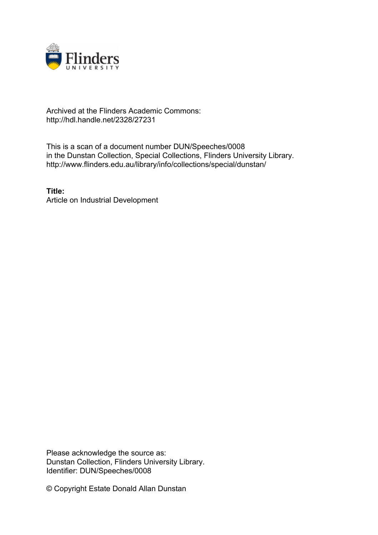

## Archived at the Flinders Academic Commons: http://hdl.handle.net/2328/27231

This is a scan of a document number DUN/Speeches/0008 in the Dunstan Collection, Special Collections, Flinders University Library. http://www.flinders.edu.au/library/info/collections/special/dunstan/

**Title:** Article on Industrial Development

Please acknowledge the source as: Dunstan Collection, Flinders University Library. Identifier: DUN/Speeches/0008

© Copyright Estate Donald Allan Dunstan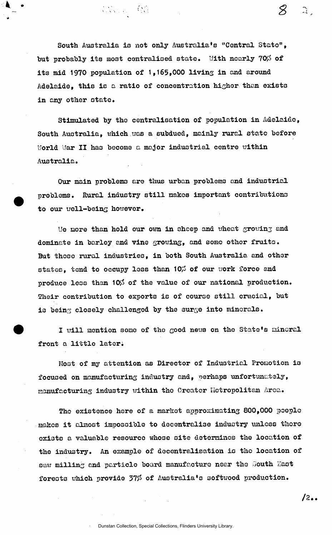South Australia is not only Australia's "Contral Stato", but probably its most centralised state. With nearly 70% of **its mid 1970 population of 1,165,000 living in and around Adelaide, this is a ratio of concentration higher than exists in any other state.** 

Comme Re

**Stimulated by the centralisation of population in Adelaide, South Australia, which .was a subdued, mainly rural state before World War II has become a major industrial centre within Australia.** 

**Our main problems are thus urban problems and industrial problems. Rural industry still makes important contributions to our xrell-being however,** 

**Ue more than hold our own in sheep and wheat growinj and dominate in barley and vine growing, and sorao other fruits. But these rural industries, in both South Australia and other**  states, tend to occupy less than 10% of our work force and produce less than 10% of the value of our national production. **Their contribution to exports is of course still crucial, but**  is being closely challenged by the surge into minerals.

**I will mention some of the good news on the State's nincral front a little lateri** 

**Most of my attention as Director of Industrial Promotion is focused on manufacturing industry and, perhaps unfortunately, aanufacturing industry within the Creator Metropolitan Aroa.** 

**The existence here of a market approximating 800,000 people makes it almost impossible to decentralise industry unless thoro exists a valuable resource whose site determines the location of the industry. An example of decentralisation is the location of**  saw milling and particle board manufacture near the South East forests which provide 37% of Australia's softwood production.

 $12...$ 

 $\mathcal{L}_{\mathcal{L}}$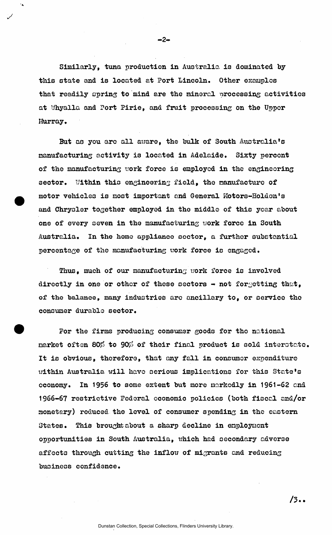**Similarly, tuna production in Australia is dominated by this state and is located at Port Lincoln. Other examples that readily spring to mind are the mineral processing activities at Whyalla and Port Pirie, and fruit processing on the Upper Murray.** 

**But as you are all aware, the hulk of South Australia's manufacturing activity is located in Adelaide. Sixty percent**  of the manufacturing work force is employed in the engineering **sector. Uithin this engineering field, the manufacture of motor vehicles is most important and General Motors-Holden•s and Chrysler together employed in the middle of this year about one of every seven in the manufacturing uork force in South Australia. In the homo appliance sector, a further substantial percentage of the manufacturing uork force is engaged.** 

**Thus, much of our manufacturing uork force is involved directly in one or other of these sectors - not forgetting that, of the balance, many industries are ancillary to, or service the consumer durable sector.** 

*For* **the firms producing consumer goods for the national**  market often 80% to 90% of their final product is sold interstate. **It is obvious, therefore, that any fall in consumer expenditure uithin Australia will have serious implications for this State's oconomy. In 1956 to some extent but more markedly in 1961-62 and 1966-67 restrictive Fedoral economic policies (both fiscal and/or monetary) reduced the level of consumer spending in the eastern States. This brought about a sharp decline in employment opportunities in South Australia, which had secondary adverse affects through cutting the inflow of migrants and reducing business confidence.** 

 $-2-$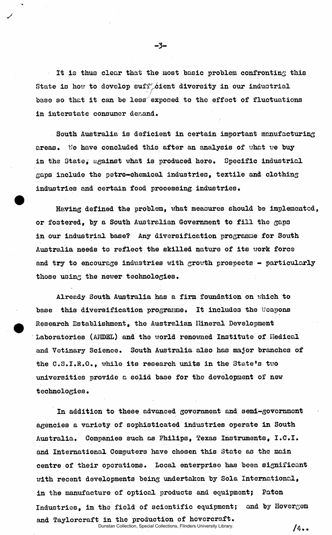**It is thus clear that the most basic problem confronting this**  State is how to develop suff cient diversity in our industrial **base so that it can be less exposed to the effect of fluctuations**  in interstate consumer demand.

**South Australia is deficient in certain important manufacturing areas. b'e have concluded this after an analysis of what we buy in the State, against what is produced here. Specific industrial gaps include the petro-chemical industries, textile and clothing industries and certain food processing industries.** 

**Having defined the problem, what measures should be implemented or fostered, by a South Australian Government to fill the gaps in our industrial base? Any diversification programme for Soxith Australia needs to reflect the skilled nature of its work force and try to encourage industries with growth prospects - particularly those using the newer technologies.** 

**Already South Australia has a firm foundation on which to base this diversification programme. It includes the Weapons Research Establishment, the Australian Mineral Development Laboratories (AMDEL) and the world renowned Institute of Hedical and Vetinary Science. South Australia also has major branches of the C.S.I.R.O., while its research units in the State's two universities provide a solid base for the development of new**  technologies.

**In addition to these advanced government and semi-government agencies a variety of sophisticated industries operate in South Australia. Companies such as Philips, Texas Instruments, I.C.I, and International Computers have chosen this State as the main centre of their operations. Local enterprise has been significant with recent developments being undertaken by Sola International, in the manufacture of optical products and equipment; Paton Industries, in the field of scientific equipment; and by Hovergem and Taylorcraft in the production of hovercraft.**  Dunstan Collection, Special Collections, Flinders University Library.

/4..

-3-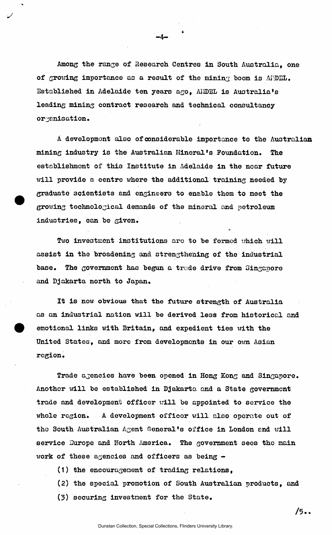**Among the range of Research Centres in South Australia, one of growing importance as a result of the mining boom is AIDED. Established in Adelaide ten years ago, AI-IDBL is Australia's leading mining contract research and technical consultancy organisation.** 

 $-4-$ 

**A development also ofconsiderable importance to the Australian mining industry is the Australian Mineral's Foundation. The establishment of this Institute in Adelaide in the near future will provide a centre where the additional training needed by graduate scientists and engineers to enable them to meet the growing technological demands of the mineral and petroleum industries, can be given.** 

o

**Two investment institutions aro to be formed which will assist in the broadening and strengthening of the industrial**  base. The government has begun a trade drive from Singapore **and Djakarta north to Japan.** 

**It is now obvious that the future strength of Australia as an industrial nation will be derived less from historical and emotional links with Britain, and expedient ties \\*ith the United States, and more from developments in our own Asian region.** 

**Trade agencies have been opened in Hong Kong and Singapore. Another will be established in Djakarta and a State government trade and development officer will be appointed to service the whole region. A development officor will also operate out of the South Australian Agent General's office in London and will**  service Europe and North America. The government sees the main **work of these agencies and officers as being -**

- **(1) the encouragement of trading relations,**
- **(2) the special promotion of South Australian products, and**
- **(3) securing investment for the State.**

 $/5.$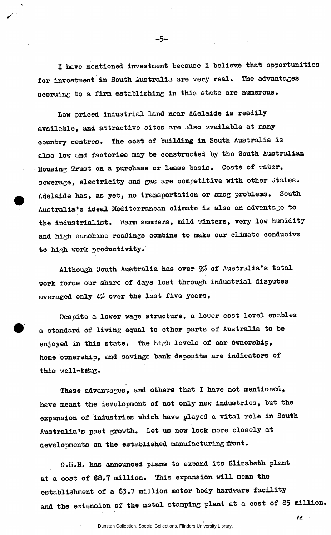**I have mentioned investment because I believe that opportunities for investment in South Australia are very real. The advantages**  accruing to a firm establishing in this state are numerous.

⊕5

**Low priced industrial land near Adelaide is readily available, and attractive sites are also available at many country centres. The cost of building in South Australia is also low and factories may be constructed by the South Australian Housing Trust on a purchase or lease basis. Costs of water, sewerage, electricity and gas are competitive with other States. Adelaide has, as yet, no transportation or smog problems. South Australia's ideal Mediterranean climate is also an advantage to the industrialist. Warm summers, mild winters, very low humidity and high sunshine readings combine to make our climate conducive to high work productivity.** 

Although South Australia has over 9% of Australia's total **work force our share of days lost through industrial disputes**  averaged only 4% over the last five years.

**Despite a lower wage structure, a lower cost level enables a standard of living equal to other parts of Australia to be enjoyed in this state. The high levels of car ownership, home ownership, and savings bank deposits are indicators of this well-tfifcg.** 

**These advantages, and others that I have not mentioned, have meant the development of not only new industries, but the expansion of industries which have played a vital role in South Australia's past growth. Let us now look more closely at developments on the established manufacturing front.** 

**G.H.H. has announced plans to expand its Elisabeth plant at a cost of \$8,7 million. This expansion will mean the establishment of a \$3.7 million motor body hardware facility and the extension of the metal stamping plant at a cost of 35 million.** 

**/c**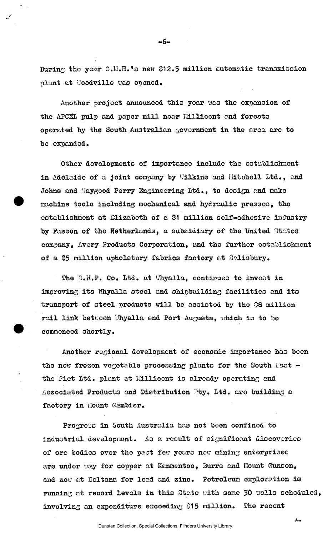During the year C.H.H.'s new \$12.5 million automatic transmission **plant at Uoodville was opened.** 

 $-6-$ 

**Another projoct announced this year was tho expansion of the APCEL pulp and paper mill near Ilillicont and forests operated by the South Australian government in the area arc to bo expanded.** 

**Other developments of importance include tho establishment in Adelaide of a joint company by Uilkins and Ilitchell Ltd., and**  Johns and **Maygood Perry Engineering Ltd.**, to design and make **machine tools including mechanical and hydraulic presses, the establishment at Bliaaboth of a 81 million self-adhesive industry by Fasson of the Netherlands, a subsidiary of the United states company, Avery Products Corporation, and the further establishment of a \$5 million upholstery fabrics factory at Salisbury.** 

The 3.H.P. Co. Ltd. at Whyalla, continues to invest in **improving its Whyalla steel and shipbuilding facilities and its transport of oteel products will be assisted by tho 08 million rail link betvoon l/hyalla and Port Augusta, which io to bo commenced shortly.** 

**Another regional dovelopmont of economic importance has boen the now frosen vegetable processing plants for the South East**  the Pict Ltd. plant at Millicent is already operating and Associated Products and Distribution Pty. Ltd. are building a **factory in Hount Gambler.** 

**Progress in South Australia has not been confined to industrial development. As a result of significant discoveries of ore bodies over the pact few years new mining enterprises**  are under way for copper at Kanmantoo, Burra and Hount Gunson, and now at Beltana for lead and zinc. Petroleum exploration is **running at record levels in this State with some** *30* **wells scheduled, involving an expenditure exceeding 015 million. The recent** 

 $I_{\text{F2}}$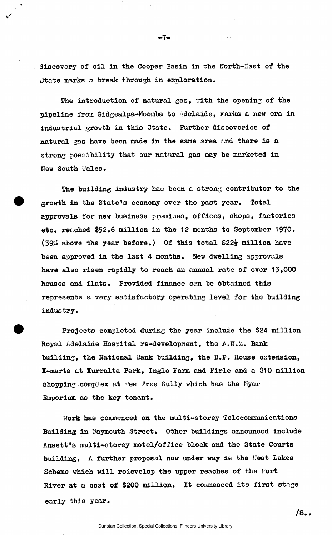**discovery of oil in the Cooper Basin in the North-East of the State marks a break through in exploration.** 

--7⊷

**The introduction of natural gas, uith the opening of the pipeline from Gidgealpa-Moomba to Adelaide, marks a new era in industrial growth in this State, Further discoveries of natural gas have been made in the same area and there is a strong possibility that our natural gas may be marketed in New South Wales.** 

**The building industry hac been a strong contributor to the growth in the State's economy over the past year. Total approvals for new business premises, offices, shops, factories etc, reached \$52,6 million in the 12 months to September 1970,**  (39% above the year before.) Of this total \$22<sup>1</sup> million have **been approved in the last 4 months. New dwelling approvals have also risen rapidly to reach an annual rate of over 13,000 houses and flats, Provided finance can be obtained this represents a very satisfactory operating level for the building industry.** 

**Projects completed during the year include the \$24 million**  Royal Adelaide Hospital re-development, the A.N.2. Bank **building, the National Bank building, the B,P. House extension, K-marts at Kurralta Park, Ingle Farm and Firle and a \$10 million shopping complex at Tea Tree Gully which has the Myer Emporium as the key tenant.** 

**Work has commenced on the multi-storey Telecommunications**  Building in Waymouth Street. Other buildings announced include Ansett's multi-storey motel/office block and the State Courts **building, A further proposal now under way is the Uest Lakes Scheme which will redevelop the upper reaches of the Fort River at a cost of \$200 million. It commenced its first stage early this year.** 

 $/8.$